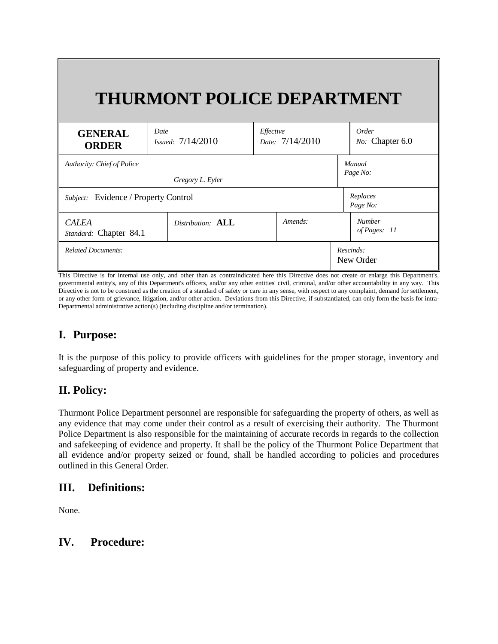|                                        | <b>THURMONT POLICE DEPARTMENT</b>  |                              |                               |
|----------------------------------------|------------------------------------|------------------------------|-------------------------------|
| <b>GENERAL</b><br><b>ORDER</b>         | Date<br><i>Issued:</i> $7/14/2010$ | Effective<br>Date: 7/14/2010 | Order<br>No: Chapter 6.0      |
| <b>Authority: Chief of Police</b>      | Gregory L. Eyler                   |                              | Manual<br>Page No:            |
| Subject: Evidence / Property Control   |                                    |                              | Replaces<br>Page No:          |
| <b>CALEA</b><br>Standard: Chapter 84.1 | Distribution: ALL                  | Amends:                      | <b>Number</b><br>of Pages: 11 |
| <b>Related Documents:</b>              |                                    |                              | Rescinds:<br>New Order        |

This Directive is for internal use only, and other than as contraindicated here this Directive does not create or enlarge this Department's, governmental entity's, any of this Department's officers, and/or any other entities' civil, criminal, and/or other accountability in any way. This Directive is not to be construed as the creation of a standard of safety or care in any sense, with respect to any complaint, demand for settlement, or any other form of grievance, litigation, and/or other action. Deviations from this Directive, if substantiated, can only form the basis for intra-Departmental administrative action(s) (including discipline and/or termination).

# **I. Purpose:**

It is the purpose of this policy to provide officers with guidelines for the proper storage, inventory and safeguarding of property and evidence.

# **II. Policy:**

Thurmont Police Department personnel are responsible for safeguarding the property of others, as well as any evidence that may come under their control as a result of exercising their authority. The Thurmont Police Department is also responsible for the maintaining of accurate records in regards to the collection and safekeeping of evidence and property. It shall be the policy of the Thurmont Police Department that all evidence and/or property seized or found, shall be handled according to policies and procedures outlined in this General Order.

## **III. Definitions:**

None.

## **IV. Procedure:**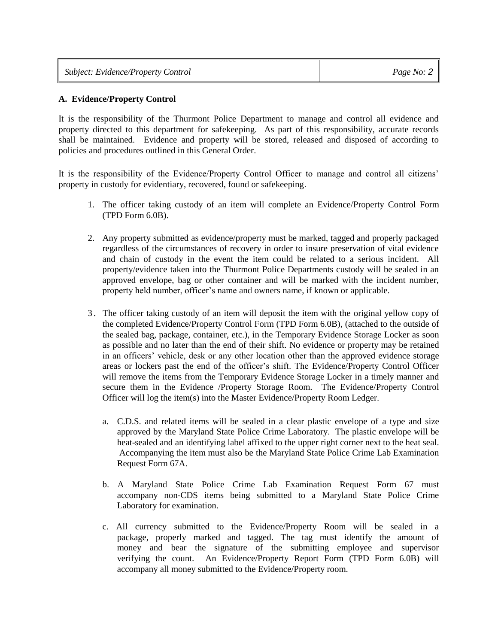| <b>Subject: Evidence/Property Control</b> | Page No: $2 \mid$ |
|-------------------------------------------|-------------------|
|-------------------------------------------|-------------------|

### **A. Evidence/Property Control**

It is the responsibility of the Thurmont Police Department to manage and control all evidence and property directed to this department for safekeeping. As part of this responsibility, accurate records shall be maintained. Evidence and property will be stored, released and disposed of according to policies and procedures outlined in this General Order.

It is the responsibility of the Evidence/Property Control Officer to manage and control all citizens' property in custody for evidentiary, recovered, found or safekeeping.

- 1. The officer taking custody of an item will complete an Evidence/Property Control Form (TPD Form 6.0B).
- 2. Any property submitted as evidence/property must be marked, tagged and properly packaged regardless of the circumstances of recovery in order to insure preservation of vital evidence and chain of custody in the event the item could be related to a serious incident. All property/evidence taken into the Thurmont Police Departments custody will be sealed in an approved envelope, bag or other container and will be marked with the incident number, property held number, officer's name and owners name, if known or applicable.
- 3. The officer taking custody of an item will deposit the item with the original yellow copy of the completed Evidence/Property Control Form (TPD Form 6.0B), (attached to the outside of the sealed bag, package, container, etc.), in the Temporary Evidence Storage Locker as soon as possible and no later than the end of their shift. No evidence or property may be retained in an officers' vehicle, desk or any other location other than the approved evidence storage areas or lockers past the end of the officer's shift. The Evidence/Property Control Officer will remove the items from the Temporary Evidence Storage Locker in a timely manner and secure them in the Evidence /Property Storage Room. The Evidence/Property Control Officer will log the item(s) into the Master Evidence/Property Room Ledger.
	- a. C.D.S. and related items will be sealed in a clear plastic envelope of a type and size approved by the Maryland State Police Crime Laboratory. The plastic envelope will be heat-sealed and an identifying label affixed to the upper right corner next to the heat seal. Accompanying the item must also be the Maryland State Police Crime Lab Examination Request Form 67A.
	- b. A Maryland State Police Crime Lab Examination Request Form 67 must accompany non-CDS items being submitted to a Maryland State Police Crime Laboratory for examination.
	- c. All currency submitted to the Evidence/Property Room will be sealed in a package, properly marked and tagged. The tag must identify the amount of money and bear the signature of the submitting employee and supervisor verifying the count. An Evidence/Property Report Form (TPD Form 6.0B) will accompany all money submitted to the Evidence/Property room.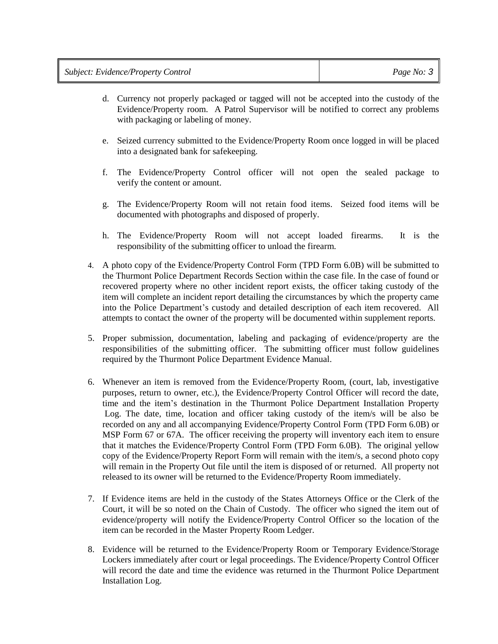| <b>Subject: Evidence/Property Control</b> | Page No: $3$ |
|-------------------------------------------|--------------|
|-------------------------------------------|--------------|

- d. Currency not properly packaged or tagged will not be accepted into the custody of the Evidence/Property room. A Patrol Supervisor will be notified to correct any problems with packaging or labeling of money.
- e. Seized currency submitted to the Evidence/Property Room once logged in will be placed into a designated bank for safekeeping.
- f. The Evidence/Property Control officer will not open the sealed package to verify the content or amount.
- g. The Evidence/Property Room will not retain food items. Seized food items will be documented with photographs and disposed of properly.
- h. The Evidence/Property Room will not accept loaded firearms. It is the responsibility of the submitting officer to unload the firearm.
- 4. A photo copy of the Evidence/Property Control Form (TPD Form 6.0B) will be submitted to the Thurmont Police Department Records Section within the case file. In the case of found or recovered property where no other incident report exists, the officer taking custody of the item will complete an incident report detailing the circumstances by which the property came into the Police Department's custody and detailed description of each item recovered. All attempts to contact the owner of the property will be documented within supplement reports.
- 5. Proper submission, documentation, labeling and packaging of evidence/property are the responsibilities of the submitting officer. The submitting officer must follow guidelines required by the Thurmont Police Department Evidence Manual.
- 6. Whenever an item is removed from the Evidence/Property Room, (court, lab, investigative purposes, return to owner, etc.), the Evidence/Property Control Officer will record the date, time and the item's destination in the Thurmont Police Department Installation Property Log. The date, time, location and officer taking custody of the item/s will be also be recorded on any and all accompanying Evidence/Property Control Form (TPD Form 6.0B) or MSP Form 67 or 67A. The officer receiving the property will inventory each item to ensure that it matches the Evidence/Property Control Form (TPD Form 6.0B). The original yellow copy of the Evidence/Property Report Form will remain with the item/s, a second photo copy will remain in the Property Out file until the item is disposed of or returned. All property not released to its owner will be returned to the Evidence/Property Room immediately.
- 7. If Evidence items are held in the custody of the States Attorneys Office or the Clerk of the Court, it will be so noted on the Chain of Custody. The officer who signed the item out of evidence/property will notify the Evidence/Property Control Officer so the location of the item can be recorded in the Master Property Room Ledger.
- 8. Evidence will be returned to the Evidence/Property Room or Temporary Evidence/Storage Lockers immediately after court or legal proceedings. The Evidence/Property Control Officer will record the date and time the evidence was returned in the Thurmont Police Department Installation Log.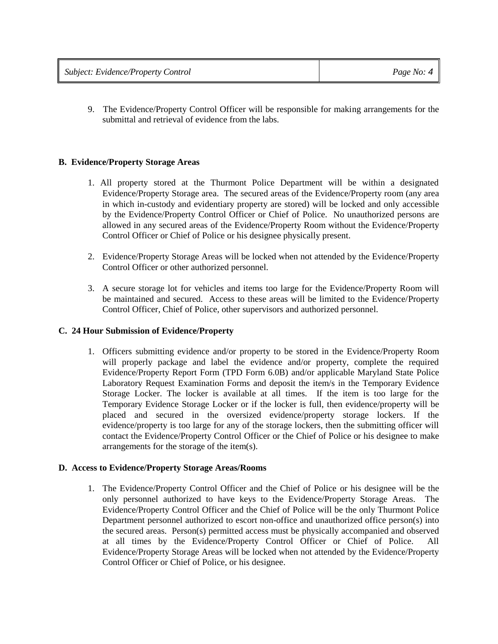9. The Evidence/Property Control Officer will be responsible for making arrangements for the submittal and retrieval of evidence from the labs.

### **B. Evidence/Property Storage Areas**

- 1. All property stored at the Thurmont Police Department will be within a designated Evidence/Property Storage area. The secured areas of the Evidence/Property room (any area in which in-custody and evidentiary property are stored) will be locked and only accessible by the Evidence/Property Control Officer or Chief of Police. No unauthorized persons are allowed in any secured areas of the Evidence/Property Room without the Evidence/Property Control Officer or Chief of Police or his designee physically present.
- 2. Evidence/Property Storage Areas will be locked when not attended by the Evidence/Property Control Officer or other authorized personnel.
- 3. A secure storage lot for vehicles and items too large for the Evidence/Property Room will be maintained and secured. Access to these areas will be limited to the Evidence/Property Control Officer, Chief of Police, other supervisors and authorized personnel.

#### **C. 24 Hour Submission of Evidence/Property**

1. Officers submitting evidence and/or property to be stored in the Evidence/Property Room will properly package and label the evidence and/or property, complete the required Evidence/Property Report Form (TPD Form 6.0B) and/or applicable Maryland State Police Laboratory Request Examination Forms and deposit the item/s in the Temporary Evidence Storage Locker. The locker is available at all times. If the item is too large for the Temporary Evidence Storage Locker or if the locker is full, then evidence/property will be placed and secured in the oversized evidence/property storage lockers. If the evidence/property is too large for any of the storage lockers, then the submitting officer will contact the Evidence/Property Control Officer or the Chief of Police or his designee to make arrangements for the storage of the item(s).

#### **D. Access to Evidence/Property Storage Areas/Rooms**

1. The Evidence/Property Control Officer and the Chief of Police or his designee will be the only personnel authorized to have keys to the Evidence/Property Storage Areas. The Evidence/Property Control Officer and the Chief of Police will be the only Thurmont Police Department personnel authorized to escort non-office and unauthorized office person(s) into the secured areas. Person(s) permitted access must be physically accompanied and observed at all times by the Evidence/Property Control Officer or Chief of Police. All Evidence/Property Storage Areas will be locked when not attended by the Evidence/Property Control Officer or Chief of Police, or his designee.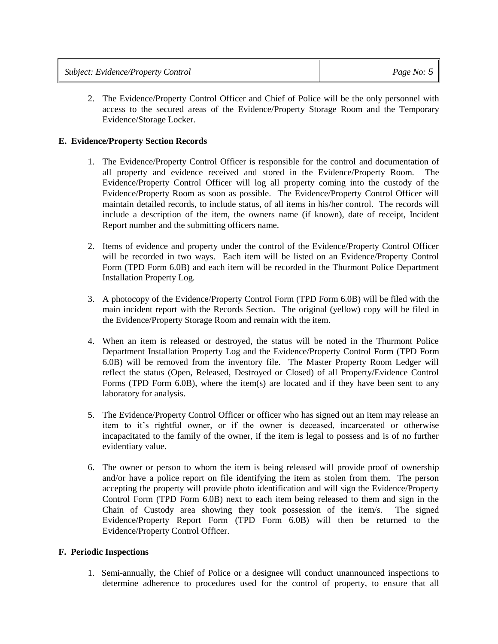| <b>Subject: Evidence/Property Control</b> | Page No: $5$ |
|-------------------------------------------|--------------|
|-------------------------------------------|--------------|

2. The Evidence/Property Control Officer and Chief of Police will be the only personnel with access to the secured areas of the Evidence/Property Storage Room and the Temporary Evidence/Storage Locker.

#### **E. Evidence/Property Section Records**

- 1. The Evidence/Property Control Officer is responsible for the control and documentation of all property and evidence received and stored in the Evidence/Property Room. The Evidence/Property Control Officer will log all property coming into the custody of the Evidence/Property Room as soon as possible. The Evidence/Property Control Officer will maintain detailed records, to include status, of all items in his/her control. The records will include a description of the item, the owners name (if known), date of receipt, Incident Report number and the submitting officers name.
- 2. Items of evidence and property under the control of the Evidence/Property Control Officer will be recorded in two ways. Each item will be listed on an Evidence/Property Control Form (TPD Form 6.0B) and each item will be recorded in the Thurmont Police Department Installation Property Log.
- 3. A photocopy of the Evidence/Property Control Form (TPD Form 6.0B) will be filed with the main incident report with the Records Section. The original (yellow) copy will be filed in the Evidence/Property Storage Room and remain with the item.
- 4. When an item is released or destroyed, the status will be noted in the Thurmont Police Department Installation Property Log and the Evidence/Property Control Form (TPD Form 6.0B) will be removed from the inventory file. The Master Property Room Ledger will reflect the status (Open, Released, Destroyed or Closed) of all Property/Evidence Control Forms (TPD Form 6.0B), where the item(s) are located and if they have been sent to any laboratory for analysis.
- 5. The Evidence/Property Control Officer or officer who has signed out an item may release an item to it's rightful owner, or if the owner is deceased, incarcerated or otherwise incapacitated to the family of the owner, if the item is legal to possess and is of no further evidentiary value.
- 6. The owner or person to whom the item is being released will provide proof of ownership and/or have a police report on file identifying the item as stolen from them. The person accepting the property will provide photo identification and will sign the Evidence/Property Control Form (TPD Form 6.0B) next to each item being released to them and sign in the Chain of Custody area showing they took possession of the item/s. The signed Evidence/Property Report Form (TPD Form 6.0B) will then be returned to the Evidence/Property Control Officer.

#### **F. Periodic Inspections**

1. Semi-annually, the Chief of Police or a designee will conduct unannounced inspections to determine adherence to procedures used for the control of property, to ensure that all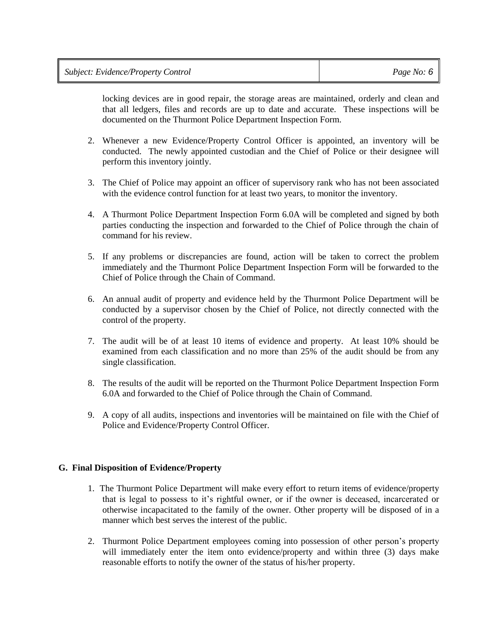| <b>Subject: Evidence/Property Control</b> | Page No: $6$ |
|-------------------------------------------|--------------|
|-------------------------------------------|--------------|

locking devices are in good repair, the storage areas are maintained, orderly and clean and that all ledgers, files and records are up to date and accurate. These inspections will be documented on the Thurmont Police Department Inspection Form.

- 2. Whenever a new Evidence/Property Control Officer is appointed, an inventory will be conducted. The newly appointed custodian and the Chief of Police or their designee will perform this inventory jointly.
- 3. The Chief of Police may appoint an officer of supervisory rank who has not been associated with the evidence control function for at least two years, to monitor the inventory.
- 4. A Thurmont Police Department Inspection Form 6.0A will be completed and signed by both parties conducting the inspection and forwarded to the Chief of Police through the chain of command for his review.
- 5. If any problems or discrepancies are found, action will be taken to correct the problem immediately and the Thurmont Police Department Inspection Form will be forwarded to the Chief of Police through the Chain of Command.
- 6. An annual audit of property and evidence held by the Thurmont Police Department will be conducted by a supervisor chosen by the Chief of Police, not directly connected with the control of the property.
- 7. The audit will be of at least 10 items of evidence and property. At least 10% should be examined from each classification and no more than 25% of the audit should be from any single classification.
- 8. The results of the audit will be reported on the Thurmont Police Department Inspection Form 6.0A and forwarded to the Chief of Police through the Chain of Command.
- 9. A copy of all audits, inspections and inventories will be maintained on file with the Chief of Police and Evidence/Property Control Officer.

#### **G. Final Disposition of Evidence/Property**

- 1. The Thurmont Police Department will make every effort to return items of evidence/property that is legal to possess to it's rightful owner, or if the owner is deceased, incarcerated or otherwise incapacitated to the family of the owner. Other property will be disposed of in a manner which best serves the interest of the public.
- 2. Thurmont Police Department employees coming into possession of other person's property will immediately enter the item onto evidence/property and within three (3) days make reasonable efforts to notify the owner of the status of his/her property.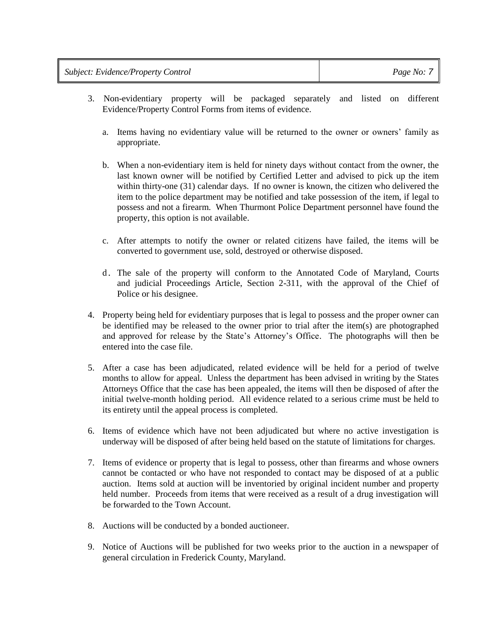- 3. Non-evidentiary property will be packaged separately and listed on different Evidence/Property Control Forms from items of evidence.
	- a. Items having no evidentiary value will be returned to the owner or owners' family as appropriate.
	- b. When a non-evidentiary item is held for ninety days without contact from the owner, the last known owner will be notified by Certified Letter and advised to pick up the item within thirty-one (31) calendar days. If no owner is known, the citizen who delivered the item to the police department may be notified and take possession of the item, if legal to possess and not a firearm. When Thurmont Police Department personnel have found the property, this option is not available.
	- c. After attempts to notify the owner or related citizens have failed, the items will be converted to government use, sold, destroyed or otherwise disposed.
	- d. The sale of the property will conform to the Annotated Code of Maryland, Courts and judicial Proceedings Article, Section 2-311, with the approval of the Chief of Police or his designee.
- 4. Property being held for evidentiary purposes that is legal to possess and the proper owner can be identified may be released to the owner prior to trial after the item(s) are photographed and approved for release by the State's Attorney's Office. The photographs will then be entered into the case file.
- 5. After a case has been adjudicated, related evidence will be held for a period of twelve months to allow for appeal. Unless the department has been advised in writing by the States Attorneys Office that the case has been appealed, the items will then be disposed of after the initial twelve-month holding period. All evidence related to a serious crime must be held to its entirety until the appeal process is completed.
- 6. Items of evidence which have not been adjudicated but where no active investigation is underway will be disposed of after being held based on the statute of limitations for charges.
- 7. Items of evidence or property that is legal to possess, other than firearms and whose owners cannot be contacted or who have not responded to contact may be disposed of at a public auction. Items sold at auction will be inventoried by original incident number and property held number. Proceeds from items that were received as a result of a drug investigation will be forwarded to the Town Account.
- 8. Auctions will be conducted by a bonded auctioneer.
- 9. Notice of Auctions will be published for two weeks prior to the auction in a newspaper of general circulation in Frederick County, Maryland.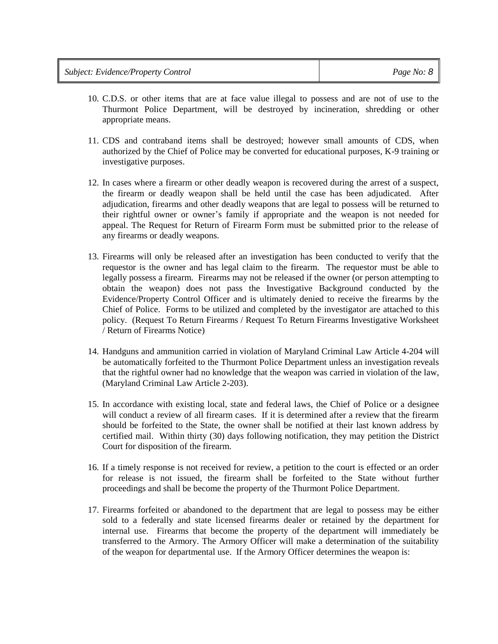- 10. C.D.S. or other items that are at face value illegal to possess and are not of use to the Thurmont Police Department, will be destroyed by incineration, shredding or other appropriate means.
- 11. CDS and contraband items shall be destroyed; however small amounts of CDS, when authorized by the Chief of Police may be converted for educational purposes, K-9 training or investigative purposes.
- 12. In cases where a firearm or other deadly weapon is recovered during the arrest of a suspect, the firearm or deadly weapon shall be held until the case has been adjudicated. After adjudication, firearms and other deadly weapons that are legal to possess will be returned to their rightful owner or owner's family if appropriate and the weapon is not needed for appeal. The Request for Return of Firearm Form must be submitted prior to the release of any firearms or deadly weapons.
- 13. Firearms will only be released after an investigation has been conducted to verify that the requestor is the owner and has legal claim to the firearm. The requestor must be able to legally possess a firearm. Firearms may not be released if the owner (or person attempting to obtain the weapon) does not pass the Investigative Background conducted by the Evidence/Property Control Officer and is ultimately denied to receive the firearms by the Chief of Police. Forms to be utilized and completed by the investigator are attached to this policy. (Request To Return Firearms / Request To Return Firearms Investigative Worksheet / Return of Firearms Notice)
- 14. Handguns and ammunition carried in violation of Maryland Criminal Law Article 4-204 will be automatically forfeited to the Thurmont Police Department unless an investigation reveals that the rightful owner had no knowledge that the weapon was carried in violation of the law, (Maryland Criminal Law Article 2-203).
- 15. In accordance with existing local, state and federal laws, the Chief of Police or a designee will conduct a review of all firearm cases. If it is determined after a review that the firearm should be forfeited to the State, the owner shall be notified at their last known address by certified mail. Within thirty (30) days following notification, they may petition the District Court for disposition of the firearm.
- 16. If a timely response is not received for review, a petition to the court is effected or an order for release is not issued, the firearm shall be forfeited to the State without further proceedings and shall be become the property of the Thurmont Police Department.
- 17. Firearms forfeited or abandoned to the department that are legal to possess may be either sold to a federally and state licensed firearms dealer or retained by the department for internal use. Firearms that become the property of the department will immediately be transferred to the Armory. The Armory Officer will make a determination of the suitability of the weapon for departmental use. If the Armory Officer determines the weapon is: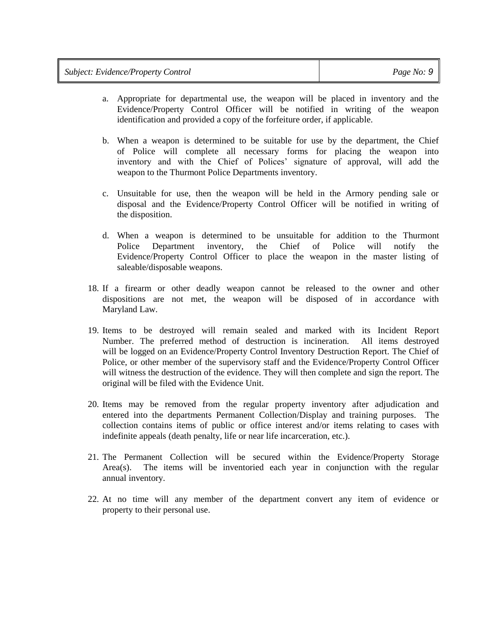| <b>Subject: Evidence/Property Control</b> | Page No: $9$ |
|-------------------------------------------|--------------|
|-------------------------------------------|--------------|

- a. Appropriate for departmental use, the weapon will be placed in inventory and the Evidence/Property Control Officer will be notified in writing of the weapon identification and provided a copy of the forfeiture order, if applicable.
- b. When a weapon is determined to be suitable for use by the department, the Chief of Police will complete all necessary forms for placing the weapon into inventory and with the Chief of Polices' signature of approval, will add the weapon to the Thurmont Police Departments inventory.
- c. Unsuitable for use, then the weapon will be held in the Armory pending sale or disposal and the Evidence/Property Control Officer will be notified in writing of the disposition.
- d. When a weapon is determined to be unsuitable for addition to the Thurmont Police Department inventory, the Chief of Police will notify the Evidence/Property Control Officer to place the weapon in the master listing of saleable/disposable weapons.
- 18. If a firearm or other deadly weapon cannot be released to the owner and other dispositions are not met, the weapon will be disposed of in accordance with Maryland Law.
- 19. Items to be destroyed will remain sealed and marked with its Incident Report Number. The preferred method of destruction is incineration. All items destroyed will be logged on an Evidence/Property Control Inventory Destruction Report. The Chief of Police, or other member of the supervisory staff and the Evidence/Property Control Officer will witness the destruction of the evidence. They will then complete and sign the report. The original will be filed with the Evidence Unit.
- 20. Items may be removed from the regular property inventory after adjudication and entered into the departments Permanent Collection/Display and training purposes. The collection contains items of public or office interest and/or items relating to cases with indefinite appeals (death penalty, life or near life incarceration, etc.).
- 21. The Permanent Collection will be secured within the Evidence/Property Storage Area(s). The items will be inventoried each year in conjunction with the regular annual inventory.
- 22. At no time will any member of the department convert any item of evidence or property to their personal use.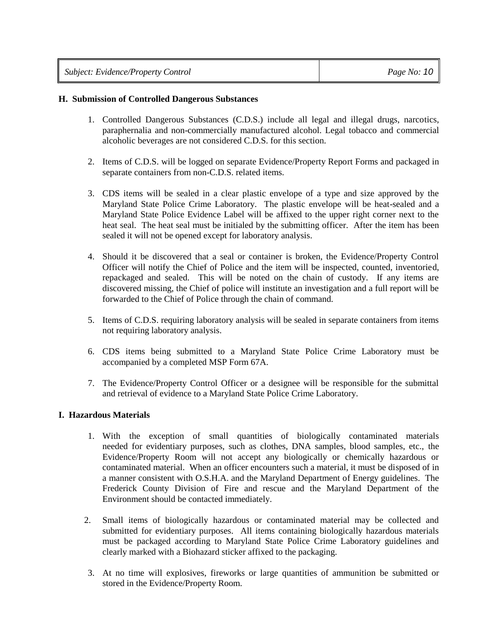| <b>Subject: Evidence/Property Control</b> | Page No: $10$ |
|-------------------------------------------|---------------|
|-------------------------------------------|---------------|

#### **H. Submission of Controlled Dangerous Substances**

- 1. Controlled Dangerous Substances (C.D.S.) include all legal and illegal drugs, narcotics, paraphernalia and non-commercially manufactured alcohol. Legal tobacco and commercial alcoholic beverages are not considered C.D.S. for this section.
- 2. Items of C.D.S. will be logged on separate Evidence/Property Report Forms and packaged in separate containers from non-C.D.S. related items.
- 3. CDS items will be sealed in a clear plastic envelope of a type and size approved by the Maryland State Police Crime Laboratory. The plastic envelope will be heat-sealed and a Maryland State Police Evidence Label will be affixed to the upper right corner next to the heat seal. The heat seal must be initialed by the submitting officer. After the item has been sealed it will not be opened except for laboratory analysis.
- 4. Should it be discovered that a seal or container is broken, the Evidence/Property Control Officer will notify the Chief of Police and the item will be inspected, counted, inventoried, repackaged and sealed. This will be noted on the chain of custody. If any items are discovered missing, the Chief of police will institute an investigation and a full report will be forwarded to the Chief of Police through the chain of command.
- 5. Items of C.D.S. requiring laboratory analysis will be sealed in separate containers from items not requiring laboratory analysis.
- 6. CDS items being submitted to a Maryland State Police Crime Laboratory must be accompanied by a completed MSP Form 67A.
- 7. The Evidence/Property Control Officer or a designee will be responsible for the submittal and retrieval of evidence to a Maryland State Police Crime Laboratory.

#### **I. Hazardous Materials**

- 1. With the exception of small quantities of biologically contaminated materials needed for evidentiary purposes, such as clothes, DNA samples, blood samples, etc., the Evidence/Property Room will not accept any biologically or chemically hazardous or contaminated material. When an officer encounters such a material, it must be disposed of in a manner consistent with O.S.H.A. and the Maryland Department of Energy guidelines. The Frederick County Division of Fire and rescue and the Maryland Department of the Environment should be contacted immediately.
- 2. Small items of biologically hazardous or contaminated material may be collected and submitted for evidentiary purposes. All items containing biologically hazardous materials must be packaged according to Maryland State Police Crime Laboratory guidelines and clearly marked with a Biohazard sticker affixed to the packaging.
- 3. At no time will explosives, fireworks or large quantities of ammunition be submitted or stored in the Evidence/Property Room.